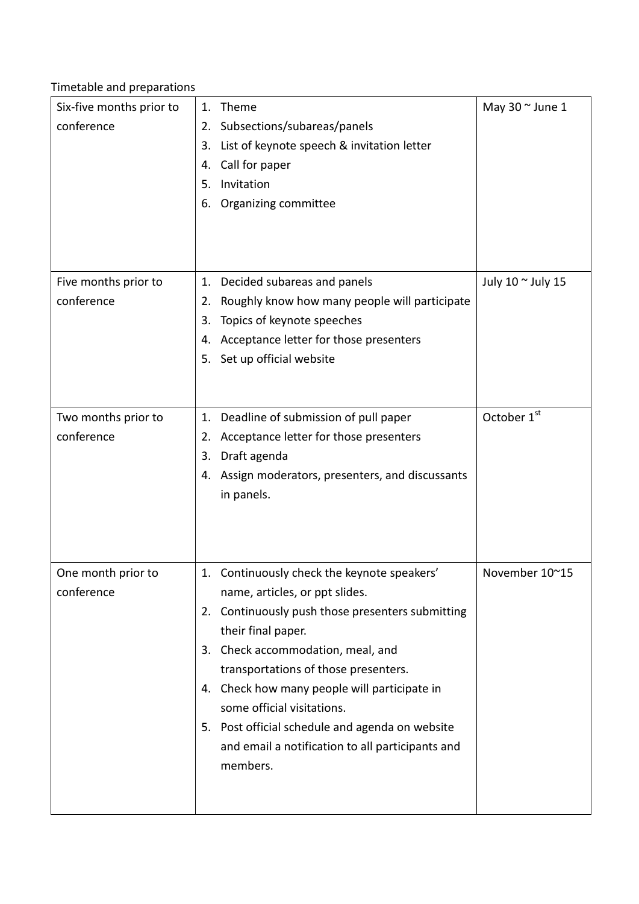Timetable and preparations

| Six-five months prior to<br>conference | Theme<br>1.<br>Subsections/subareas/panels<br>2.<br>List of keynote speech & invitation letter<br>3.<br>Call for paper<br>4.<br>Invitation<br>5.<br>Organizing committee<br>6.                                                                                                                                                                                                                                                        | May $30 \degree$ June 1 |
|----------------------------------------|---------------------------------------------------------------------------------------------------------------------------------------------------------------------------------------------------------------------------------------------------------------------------------------------------------------------------------------------------------------------------------------------------------------------------------------|-------------------------|
| Five months prior to<br>conference     | Decided subareas and panels<br>1.<br>Roughly know how many people will participate<br>2.<br>Topics of keynote speeches<br>3.<br>Acceptance letter for those presenters<br>4.<br>Set up official website<br>5.                                                                                                                                                                                                                         | July 10 ~ July 15       |
| Two months prior to<br>conference      | Deadline of submission of pull paper<br>1.<br>Acceptance letter for those presenters<br>2.<br>Draft agenda<br>3.<br>Assign moderators, presenters, and discussants<br>4.<br>in panels.                                                                                                                                                                                                                                                | October 1 <sup>st</sup> |
| One month prior to<br>conference       | 1. Continuously check the keynote speakers'<br>name, articles, or ppt slides.<br>2. Continuously push those presenters submitting<br>their final paper.<br>3. Check accommodation, meal, and<br>transportations of those presenters.<br>4. Check how many people will participate in<br>some official visitations.<br>5. Post official schedule and agenda on website<br>and email a notification to all participants and<br>members. | November 10~15          |